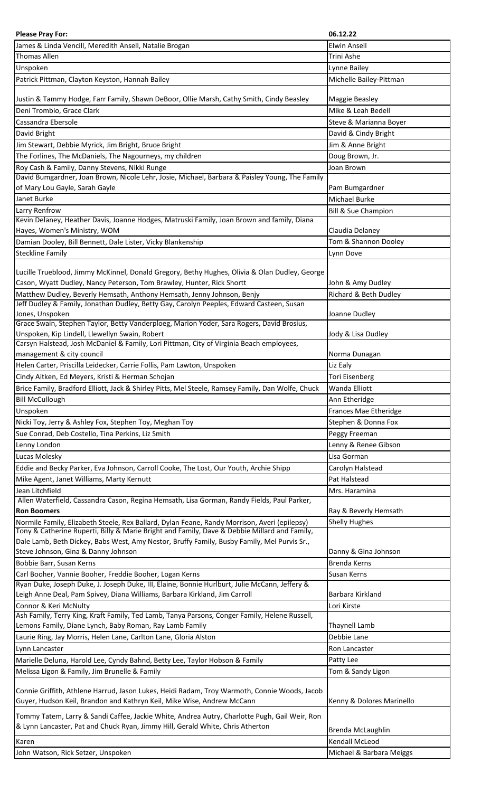| <b>Please Pray For:</b>                                                                                                                                  | 06.12.22                                   |
|----------------------------------------------------------------------------------------------------------------------------------------------------------|--------------------------------------------|
| James & Linda Vencill, Meredith Ansell, Natalie Brogan                                                                                                   | <b>Elwin Ansell</b>                        |
| <b>Thomas Allen</b>                                                                                                                                      | Trini Ashe                                 |
| Unspoken                                                                                                                                                 | Lynne Bailey                               |
| Patrick Pittman, Clayton Keyston, Hannah Bailey                                                                                                          | Michelle Bailey-Pittman                    |
|                                                                                                                                                          |                                            |
| Justin & Tammy Hodge, Farr Family, Shawn DeBoor, Ollie Marsh, Cathy Smith, Cindy Beasley                                                                 | Maggie Beasley                             |
| Deni Trombio, Grace Clark                                                                                                                                | Mike & Leah Bedell                         |
| Cassandra Ebersole                                                                                                                                       | Steve & Marianna Boyer                     |
| David Bright                                                                                                                                             | David & Cindy Bright                       |
| Jim Stewart, Debbie Myrick, Jim Bright, Bruce Bright                                                                                                     | Jim & Anne Bright                          |
| The Forlines, The McDaniels, The Nagourneys, my children                                                                                                 | Doug Brown, Jr.                            |
| Roy Cash & Family, Danny Stevens, Nikki Runge                                                                                                            | Joan Brown                                 |
| David Bumgardner, Joan Brown, Nicole Lehr, Josie, Michael, Barbara & Paisley Young, The Family<br>of Mary Lou Gayle, Sarah Gayle                         | Pam Bumgardner                             |
| Janet Burke                                                                                                                                              | Michael Burke                              |
| Larry Renfrow                                                                                                                                            | <b>Bill &amp; Sue Champion</b>             |
| Kevin Delaney, Heather Davis, Joanne Hodges, Matruski Family, Joan Brown and family, Diana                                                               |                                            |
| Hayes, Women's Ministry, WOM                                                                                                                             | Claudia Delaney                            |
| Damian Dooley, Bill Bennett, Dale Lister, Vicky Blankenship                                                                                              | Tom & Shannon Dooley                       |
| <b>Steckline Family</b>                                                                                                                                  | Lynn Dove                                  |
|                                                                                                                                                          |                                            |
| Lucille Trueblood, Jimmy McKinnel, Donald Gregory, Bethy Hughes, Olivia & Olan Dudley, George                                                            |                                            |
| Cason, Wyatt Dudley, Nancy Peterson, Tom Brawley, Hunter, Rick Shortt                                                                                    | John & Amy Dudley                          |
| Matthew Dudley, Beverly Hemsath, Anthony Hemsath, Jenny Johnson, Benjy                                                                                   | Richard & Beth Dudley                      |
| Jeff Dudley & Family, Jonathan Dudley, Betty Gay, Carolyn Peeples, Edward Casteen, Susan                                                                 |                                            |
| Jones, Unspoken<br>Grace Swain, Stephen Taylor, Betty Vanderploeg, Marion Yoder, Sara Rogers, David Brosius,                                             | Joanne Dudley                              |
| Unspoken, Kip Lindell, Llewellyn Swain, Robert                                                                                                           | Jody & Lisa Dudley                         |
| Carsyn Halstead, Josh McDaniel & Family, Lori Pittman, City of Virginia Beach employees,                                                                 |                                            |
| management & city council                                                                                                                                | Norma Dunagan                              |
| Helen Carter, Priscilla Leidecker, Carrie Follis, Pam Lawton, Unspoken                                                                                   | Liz Ealy                                   |
| Cindy Aitken, Ed Meyers, Kristi & Herman Schojan                                                                                                         | <b>Tori Eisenberg</b>                      |
| Brice Family, Bradford Elliott, Jack & Shirley Pitts, Mel Steele, Ramsey Family, Dan Wolfe, Chuck                                                        | Wanda Elliott                              |
| <b>Bill McCullough</b>                                                                                                                                   | Ann Etheridge                              |
| Unspoken                                                                                                                                                 | Frances Mae Etheridge                      |
| Nicki Toy, Jerry & Ashley Fox, Stephen Toy, Meghan Toy                                                                                                   | Stephen & Donna Fox                        |
| Sue Conrad, Deb Costello, Tina Perkins, Liz Smith                                                                                                        | Peggy Freeman                              |
| Lenny London                                                                                                                                             |                                            |
|                                                                                                                                                          | Lenny & Renee Gibson                       |
| Lucas Molesky                                                                                                                                            | Lisa Gorman                                |
| Eddie and Becky Parker, Eva Johnson, Carroll Cooke, The Lost, Our Youth, Archie Shipp                                                                    | Carolyn Halstead                           |
| Mike Agent, Janet Williams, Marty Kernutt                                                                                                                | Pat Halstead                               |
| Jean Litchfield                                                                                                                                          | Mrs. Haramina                              |
| Allen Waterfield, Cassandra Cason, Regina Hemsath, Lisa Gorman, Randy Fields, Paul Parker,                                                               |                                            |
| <b>Ron Boomers</b>                                                                                                                                       | Ray & Beverly Hemsath                      |
| Normile Family, Elizabeth Steele, Rex Ballard, Dylan Feane, Randy Morrison, Averi (epilepsy)                                                             | <b>Shelly Hughes</b>                       |
| Tony & Catherine Ruperti, Billy & Marie Bright and Family, Dave & Debbie Millard and Family,                                                             |                                            |
| Dale Lamb, Beth Dickey, Babs West, Amy Nestor, Bruffy Family, Busby Family, Mel Purvis Sr.,                                                              |                                            |
| Steve Johnson, Gina & Danny Johnson                                                                                                                      | Danny & Gina Johnson                       |
| Bobbie Barr, Susan Kerns                                                                                                                                 | Brenda Kerns                               |
| Carl Booher, Vannie Booher, Freddie Booher, Logan Kerns<br>Ryan Duke, Joseph Duke, J. Joseph Duke, III, Elaine, Bonnie Hurlburt, Julie McCann, Jeffery & | Susan Kerns                                |
| Leigh Anne Deal, Pam Spivey, Diana Williams, Barbara Kirkland, Jim Carroll                                                                               | Barbara Kirkland                           |
| Connor & Keri McNulty                                                                                                                                    | Lori Kirste                                |
| Ash Family, Terry King, Kraft Family, Ted Lamb, Tanya Parsons, Conger Family, Helene Russell,                                                            |                                            |
| Lemons Family, Diane Lynch, Baby Roman, Ray Lamb Family                                                                                                  | Thaynell Lamb                              |
| Laurie Ring, Jay Morris, Helen Lane, Carlton Lane, Gloria Alston                                                                                         | Debbie Lane                                |
| Lynn Lancaster                                                                                                                                           | Ron Lancaster                              |
| Marielle Deluna, Harold Lee, Cyndy Bahnd, Betty Lee, Taylor Hobson & Family                                                                              | Patty Lee                                  |
| Melissa Ligon & Family, Jim Brunelle & Family                                                                                                            | Tom & Sandy Ligon                          |
|                                                                                                                                                          |                                            |
| Connie Griffith, Athlene Harrud, Jason Lukes, Heidi Radam, Troy Warmoth, Connie Woods, Jacob                                                             |                                            |
| Guyer, Hudson Keil, Brandon and Kathryn Keil, Mike Wise, Andrew McCann                                                                                   | Kenny & Dolores Marinello                  |
| Tommy Tatem, Larry & Sandi Caffee, Jackie White, Andrea Autry, Charlotte Pugh, Gail Weir, Ron                                                            |                                            |
| & Lynn Lancaster, Pat and Chuck Ryan, Jimmy Hill, Gerald White, Chris Atherton                                                                           | Brenda McLaughlin                          |
| Karen                                                                                                                                                    | Kendall McLeod<br>Michael & Barbara Meiggs |